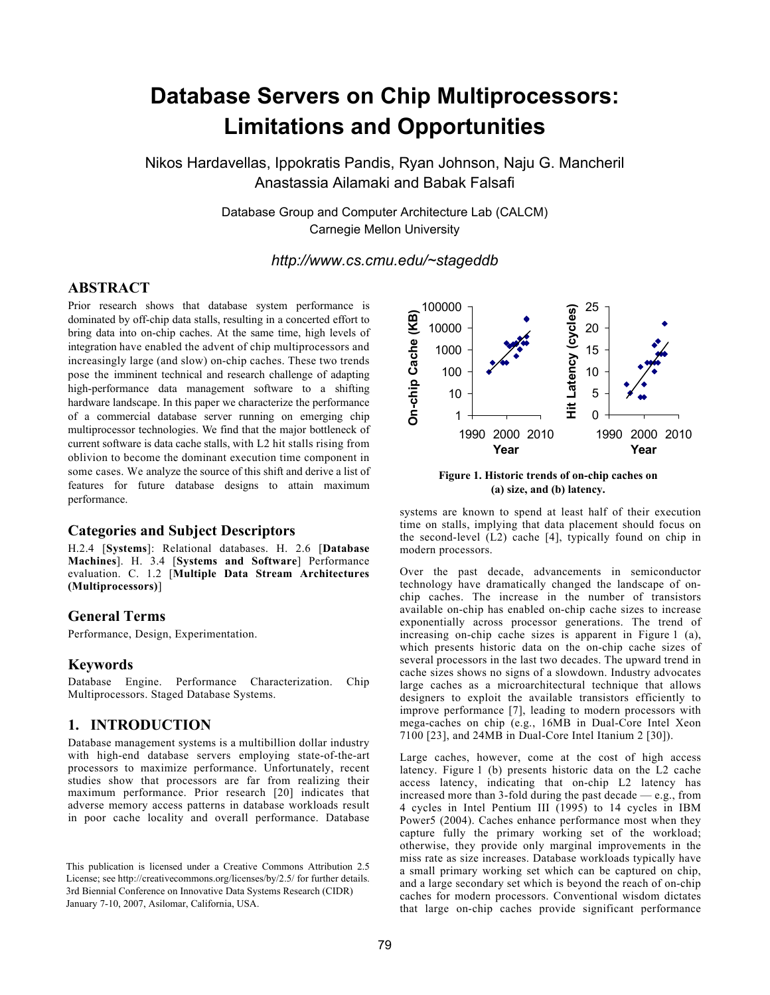# **Database Servers on Chip Multiprocessors: Limitations and Opportunities**

Nikos Hardavellas, Ippokratis Pandis, Ryan Johnson, Naju G. Mancheril Anastassia Ailamaki and Babak Falsafi

> Database Group and Computer Architecture Lab (CALCM) Carnegie Mellon University

> > *http://www.cs.cmu.edu/~stageddb*

#### **ABSTRACT**

Prior research shows that database system performance is dominated by off-chip data stalls, resulting in a concerted effort to bring data into on-chip caches. At the same time, high levels of integration have enabled the advent of chip multiprocessors and increasingly large (and slow) on-chip caches. These two trends pose the imminent technical and research challenge of adapting high-performance data management software to a shifting hardware landscape. In this paper we characterize the performance of a commercial database server running on emerging chip multiprocessor technologies. We find that the major bottleneck of current software is data cache stalls, with L2 hit stalls rising from oblivion to become the dominant execution time component in some cases. We analyze the source of this shift and derive a list of features for future database designs to attain maximum performance.

#### **Categories and Subject Descriptors**

H.2.4 [**Systems**]: Relational databases. H. 2.6 [**Database Machines**]. H. 3.4 [**Systems and Software**] Performance evaluation. C. 1.2 [**Multiple Data Stream Architectures (Multiprocessors)**]

#### **General Terms**

Performance, Design, Experimentation.

#### **Keywords**

Database Engine. Performance Characterization. Chip Multiprocessors. Staged Database Systems.

#### **1. INTRODUCTION**

Database management systems is a multibillion dollar industry with high-end database servers employing state-of-the-art processors to maximize performance. Unfortunately, recent studies show that processors are far from realizing their maximum performance. Prior research [20] indicates that adverse memory access patterns in database workloads result in poor cache locality and overall performance. Database



**Figure 1. Historic trends of on-chip caches on (a) size, and (b) latency.**

systems are known to spend at least half of their execution time on stalls, implying that data placement should focus on the second-level (L2) cache [4], typically found on chip in modern processors.

Over the past decade, advancements in semiconductor technology have dramatically changed the landscape of onchip caches. The increase in the number of transistors available on-chip has enabled on-chip cache sizes to increase exponentially across processor generations. The trend of increasing on-chip cache sizes is apparent in Figure 1 (a), which presents historic data on the on-chip cache sizes of several processors in the last two decades. The upward trend in cache sizes shows no signs of a slowdown. Industry advocates large caches as a microarchitectural technique that allows designers to exploit the available transistors efficiently to improve performance [7], leading to modern processors with mega-caches on chip (e.g., 16MB in Dual-Core Intel Xeon 7100 [23], and 24MB in Dual-Core Intel Itanium 2 [30]).

Large caches, however, come at the cost of high access latency. Figure 1 (b) presents historic data on the L2 cache access latency, indicating that on-chip L2 latency has increased more than 3-fold during the past decade — e.g., from 4 cycles in Intel Pentium III (1995) to 14 cycles in IBM Power5 (2004). Caches enhance performance most when they capture fully the primary working set of the workload; otherwise, they provide only marginal improvements in the miss rate as size increases. Database workloads typically have a small primary working set which can be captured on chip, and a large secondary set which is beyond the reach of on-chip caches for modern processors. Conventional wisdom dictates that large on-chip caches provide significant performance

This publication is licensed under a Creative Commons Attribution 2.5 License; see http://creativecommons.org/licenses/by/2.5/ for further details. 3rd Biennial Conference on Innovative Data Systems Research (CIDR) January 7-10, 2007, Asilomar, California, USA.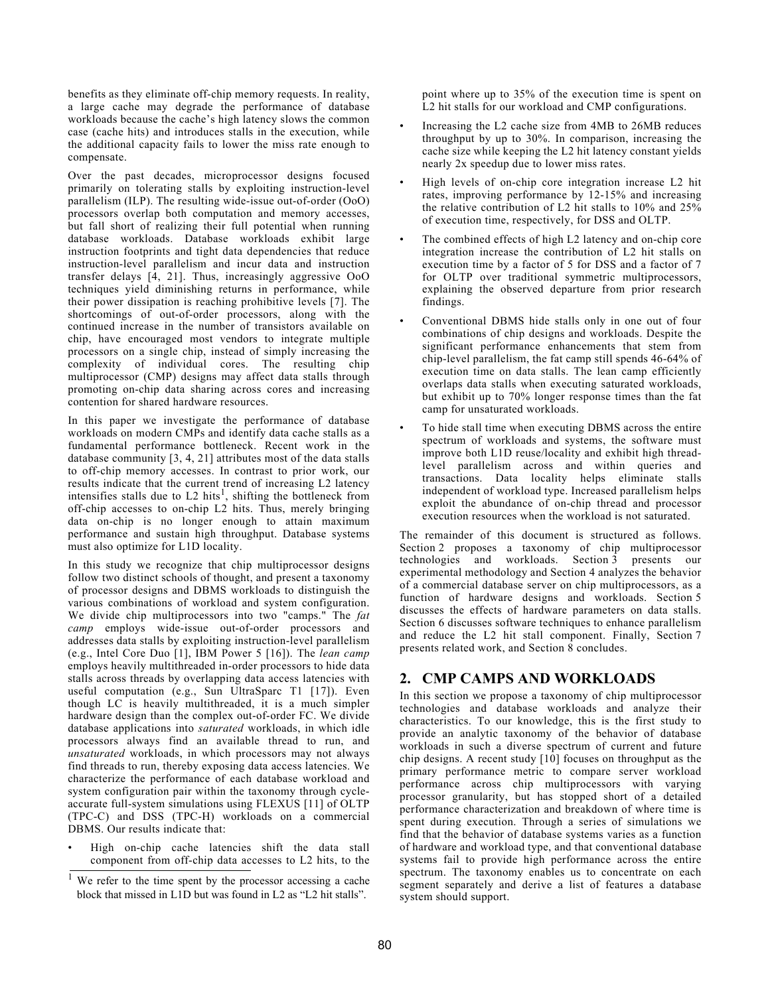benefits as they eliminate off-chip memory requests. In reality, a large cache may degrade the performance of database workloads because the cache's high latency slows the common case (cache hits) and introduces stalls in the execution, while the additional capacity fails to lower the miss rate enough to compensate.

Over the past decades, microprocessor designs focused primarily on tolerating stalls by exploiting instruction-level parallelism (ILP). The resulting wide-issue out-of-order (OoO) processors overlap both computation and memory accesses, but fall short of realizing their full potential when running database workloads. Database workloads exhibit large instruction footprints and tight data dependencies that reduce instruction-level parallelism and incur data and instruction transfer delays  $\begin{bmatrix} 4 \\ 21 \end{bmatrix}$ . Thus, increasingly aggressive OoO techniques yield diminishing returns in performance, while their power dissipation is reaching prohibitive levels [7]. The shortcomings of out-of-order processors, along with the continued increase in the number of transistors available on chip, have encouraged most vendors to integrate multiple processors on a single chip, instead of simply increasing the complexity of individual cores. The resulting chip multiprocessor (CMP) designs may affect data stalls through promoting on-chip data sharing across cores and increasing contention for shared hardware resources.

In this paper we investigate the performance of database workloads on modern CMPs and identify data cache stalls as a fundamental performance bottleneck. Recent work in the database community [3, 4, 21] attributes most of the data stalls to off-chip memory accesses. In contrast to prior work, our results indicate that the current trend of increasing L2 latency intensifies stalls due to L2 hits<sup>1</sup>, shifting the bottleneck from off-chip accesses to on-chip L2 hits. Thus, merely bringing data on-chip is no longer enough to attain maximum performance and sustain high throughput. Database systems must also optimize for L1D locality.

In this study we recognize that chip multiprocessor designs follow two distinct schools of thought, and present a taxonomy of processor designs and DBMS workloads to distinguish the various combinations of workload and system configuration. We divide chip multiprocessors into two "camps." The *fat camp* employs wide-issue out-of-order processors and addresses data stalls by exploiting instruction-level parallelism (e.g., Intel Core Duo [1], IBM Power 5 [16]). The *lean camp* employs heavily multithreaded in-order processors to hide data stalls across threads by overlapping data access latencies with useful computation (e.g., Sun UltraSparc T1 [17]). Even though LC is heavily multithreaded, it is a much simpler hardware design than the complex out-of-order FC. We divide database applications into *saturated* workloads, in which idle processors always find an available thread to run, and *unsaturated* workloads, in which processors may not always find threads to run, thereby exposing data access latencies. We characterize the performance of each database workload and system configuration pair within the taxonomy through cycleaccurate full-system simulations using FLEXUS [11] of OLTP (TPC-C) and DSS (TPC-H) workloads on a commercial DBMS. Our results indicate that:

• High on-chip cache latencies shift the data stall component from off-chip data accesses to L2 hits, to the point where up to 35% of the execution time is spent on L2 hit stalls for our workload and CMP configurations.

- Increasing the L2 cache size from 4MB to 26MB reduces throughput by up to 30%. In comparison, increasing the cache size while keeping the L2 hit latency constant yields nearly 2x speedup due to lower miss rates.
- High levels of on-chip core integration increase L2 hit rates, improving performance by 12-15% and increasing the relative contribution of L2 hit stalls to 10% and 25% of execution time, respectively, for DSS and OLTP.
- The combined effects of high L2 latency and on-chip core integration increase the contribution of L2 hit stalls on execution time by a factor of 5 for DSS and a factor of 7 for OLTP over traditional symmetric multiprocessors, explaining the observed departure from prior research findings.
- Conventional DBMS hide stalls only in one out of four combinations of chip designs and workloads. Despite the significant performance enhancements that stem from chip-level parallelism, the fat camp still spends 46-64% of execution time on data stalls. The lean camp efficiently overlaps data stalls when executing saturated workloads, but exhibit up to 70% longer response times than the fat camp for unsaturated workloads.
- To hide stall time when executing DBMS across the entire spectrum of workloads and systems, the software must improve both L1D reuse/locality and exhibit high threadlevel parallelism across and within queries and transactions. Data locality helps eliminate stalls independent of workload type. Increased parallelism helps exploit the abundance of on-chip thread and processor execution resources when the workload is not saturated.

The remainder of this document is structured as follows. Section 2 proposes a taxonomy of chip multiprocessor technologies and workloads. Section 3 presents our experimental methodology and Section 4 analyzes the behavior of a commercial database server on chip multiprocessors, as a function of hardware designs and workloads. Section 5 discusses the effects of hardware parameters on data stalls. Section 6 discusses software techniques to enhance parallelism and reduce the L2 hit stall component. Finally, Section 7 presents related work, and Section 8 concludes.

# **2. CMP CAMPS AND WORKLOADS**

In this section we propose a taxonomy of chip multiprocessor technologies and database workloads and analyze their characteristics. To our knowledge, this is the first study to provide an analytic taxonomy of the behavior of database workloads in such a diverse spectrum of current and future chip designs. A recent study [10] focuses on throughput as the primary performance metric to compare server workload performance across chip multiprocessors with varying processor granularity, but has stopped short of a detailed performance characterization and breakdown of where time is spent during execution. Through a series of simulations we find that the behavior of database systems varies as a function of hardware and workload type, and that conventional database systems fail to provide high performance across the entire spectrum. The taxonomy enables us to concentrate on each segment separately and derive a list of features a database system should support.

We refer to the time spent by the processor accessing a cache block that missed in L1D but was found in L2 as "L2 hit stalls".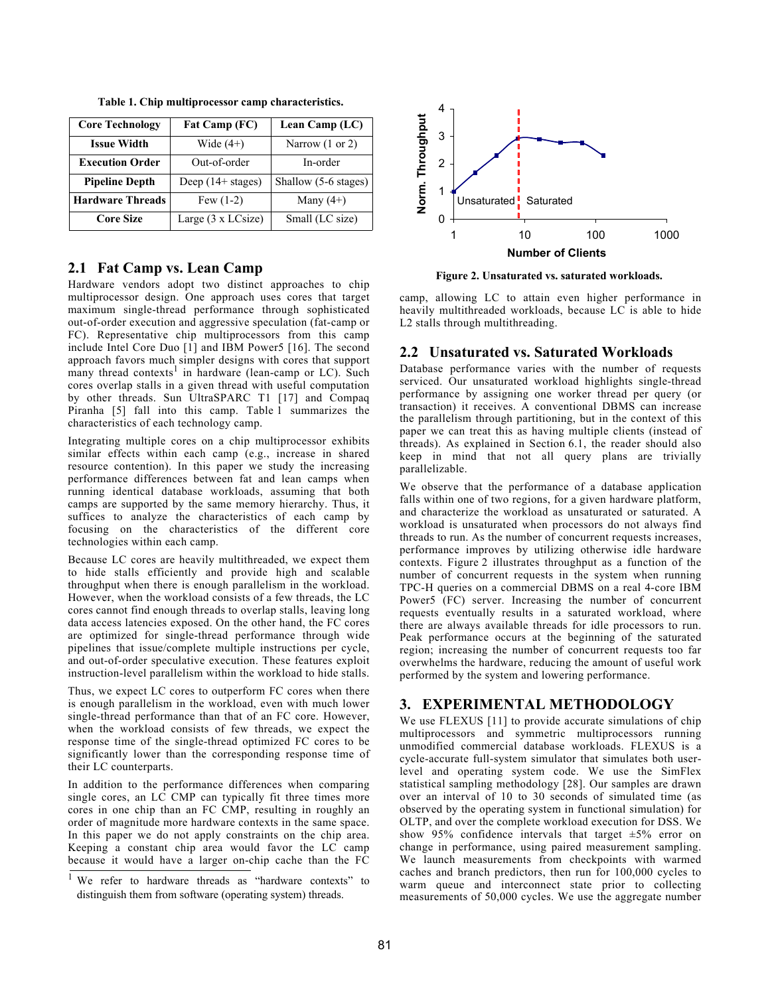| <b>Core Technology</b>  | Fat Camp (FC)               | Lean Camp (LC)             |
|-------------------------|-----------------------------|----------------------------|
| <b>Issue Width</b>      | Wide $(4+)$                 | Narrow $(1 \text{ or } 2)$ |
| <b>Execution Order</b>  | Out-of-order                | In-order                   |
| <b>Pipeline Depth</b>   | Deep $(14 + \text{stages})$ | Shallow (5-6 stages)       |
| <b>Hardware Threads</b> | Few $(1-2)$                 | Many $(4+)$                |
| <b>Core Size</b>        | Large (3 x LCsize)          | Small (LC size)            |

**Table 1. Chip multiprocessor camp characteristics.**

#### **2.1 Fat Camp vs. Lean Camp**

Hardware vendors adopt two distinct approaches to chip multiprocessor design. One approach uses cores that target maximum single-thread performance through sophisticated out-of-order execution and aggressive speculation (fat-camp or FC). Representative chip multiprocessors from this camp include Intel Core Duo [1] and IBM Power5 [16]. The second approach favors much simpler designs with cores that support many thread contexts<sup>1</sup> in hardware (lean-camp or LC). Such cores overlap stalls in a given thread with useful computation by other threads. Sun UltraSPARC T1 [17] and Compaq Piranha [5] fall into this camp. Table 1 summarizes the characteristics of each technology camp.

Integrating multiple cores on a chip multiprocessor exhibits similar effects within each camp (e.g., increase in shared resource contention). In this paper we study the increasing performance differences between fat and lean camps when running identical database workloads, assuming that both camps are supported by the same memory hierarchy. Thus, it suffices to analyze the characteristics of each camp by focusing on the characteristics of the different core technologies within each camp.

Because LC cores are heavily multithreaded, we expect them to hide stalls efficiently and provide high and scalable throughput when there is enough parallelism in the workload. However, when the workload consists of a few threads, the LC cores cannot find enough threads to overlap stalls, leaving long data access latencies exposed. On the other hand, the FC cores are optimized for single-thread performance through wide pipelines that issue/complete multiple instructions per cycle, and out-of-order speculative execution. These features exploit instruction-level parallelism within the workload to hide stalls.

Thus, we expect LC cores to outperform FC cores when there is enough parallelism in the workload, even with much lower single-thread performance than that of an FC core. However, when the workload consists of few threads, we expect the response time of the single-thread optimized FC cores to be significantly lower than the corresponding response time of their LC counterparts.

In addition to the performance differences when comparing single cores, an LC CMP can typically fit three times more cores in one chip than an FC CMP, resulting in roughly an order of magnitude more hardware contexts in the same space. In this paper we do not apply constraints on the chip area. Keeping a constant chip area would favor the LC camp because it would have a larger on-chip cache than the FC



**Figure 2. Unsaturated vs. saturated workloads.**

camp, allowing LC to attain even higher performance in heavily multithreaded workloads, because LC is able to hide L2 stalls through multithreading.

#### **2.2 Unsaturated vs. Saturated Workloads**

Database performance varies with the number of requests serviced. Our unsaturated workload highlights single-thread performance by assigning one worker thread per query (or transaction) it receives. A conventional DBMS can increase the parallelism through partitioning, but in the context of this paper we can treat this as having multiple clients (instead of threads). As explained in Section 6.1, the reader should also keep in mind that not all query plans are trivially parallelizable.

We observe that the performance of a database application falls within one of two regions, for a given hardware platform, and characterize the workload as unsaturated or saturated. A workload is unsaturated when processors do not always find threads to run. As the number of concurrent requests increases, performance improves by utilizing otherwise idle hardware contexts. Figure 2 illustrates throughput as a function of the number of concurrent requests in the system when running TPC-H queries on a commercial DBMS on a real 4-core IBM Power5 (FC) server. Increasing the number of concurrent requests eventually results in a saturated workload, where there are always available threads for idle processors to run. Peak performance occurs at the beginning of the saturated region; increasing the number of concurrent requests too far overwhelms the hardware, reducing the amount of useful work performed by the system and lowering performance.

# **3. EXPERIMENTAL METHODOLOGY**

We use FLEXUS [11] to provide accurate simulations of chip multiprocessors and symmetric multiprocessors running unmodified commercial database workloads. FLEXUS is a cycle-accurate full-system simulator that simulates both userlevel and operating system code. We use the SimFlex statistical sampling methodology [28]. Our samples are drawn over an interval of 10 to 30 seconds of simulated time (as observed by the operating system in functional simulation) for OLTP, and over the complete workload execution for DSS. We show 95% confidence intervals that target  $\pm 5\%$  error on change in performance, using paired measurement sampling. We launch measurements from checkpoints with warmed caches and branch predictors, then run for 100,000 cycles to warm queue and interconnect state prior to collecting measurements of 50,000 cycles. We use the aggregate number

<sup>&</sup>lt;sup>1</sup> We refer to hardware threads as "hardware contexts" to distinguish them from software (operating system) threads.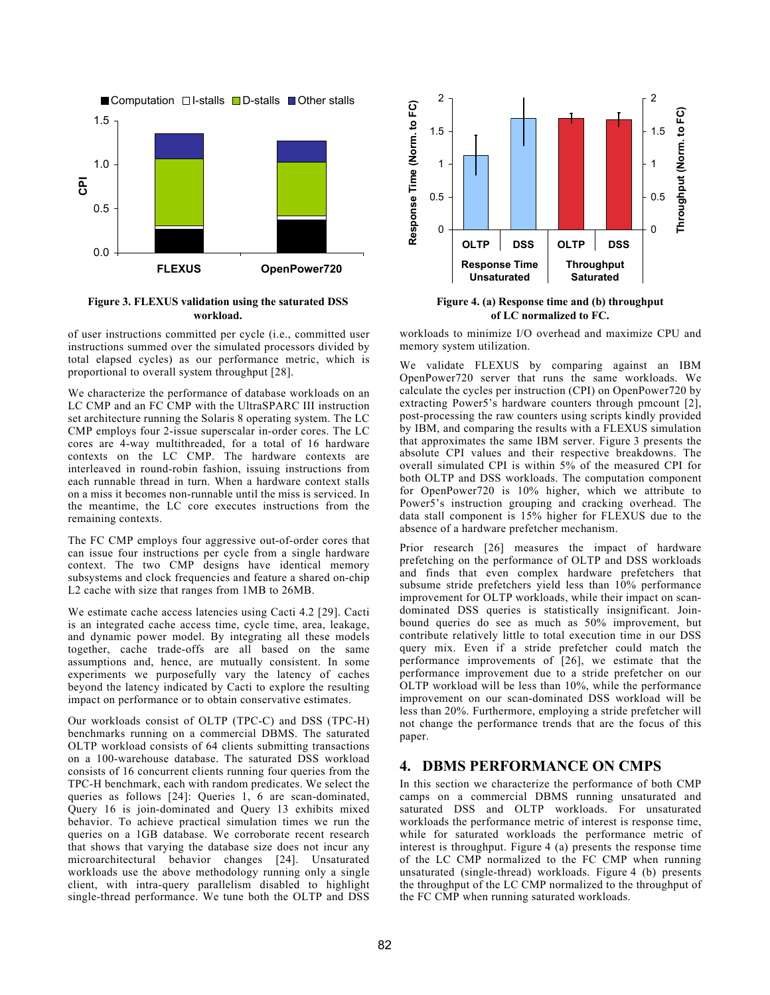

#### **Figure 3. FLEXUS validation using the saturated DSS workload.**

of user instructions committed per cycle (i.e., committed user instructions summed over the simulated processors divided by total elapsed cycles) as our performance metric, which is proportional to overall system throughput [28].

We characterize the performance of database workloads on an LC CMP and an FC CMP with the UltraSPARC III instruction set architecture running the Solaris 8 operating system. The LC CMP employs four 2-issue superscalar in-order cores. The LC cores are 4-way multithreaded, for a total of 16 hardware contexts on the LC CMP. The hardware contexts are interleaved in round-robin fashion, issuing instructions from each runnable thread in turn. When a hardware context stalls on a miss it becomes non-runnable until the miss is serviced. In the meantime, the LC core executes instructions from the remaining contexts.

The FC CMP employs four aggressive out-of-order cores that can issue four instructions per cycle from a single hardware context. The two CMP designs have identical memory subsystems and clock frequencies and feature a shared on-chip L2 cache with size that ranges from 1MB to 26MB.

We estimate cache access latencies using Cacti 4.2 [29]. Cacti is an integrated cache access time, cycle time, area, leakage, and dynamic power model. By integrating all these models together, cache trade-offs are all based on the same assumptions and, hence, are mutually consistent. In some experiments we purposefully vary the latency of caches beyond the latency indicated by Cacti to explore the resulting impact on performance or to obtain conservative estimates.

Our workloads consist of OLTP (TPC-C) and DSS (TPC-H) benchmarks running on a commercial DBMS. The saturated OLTP workload consists of 64 clients submitting transactions on a 100-warehouse database. The saturated DSS workload consists of 16 concurrent clients running four queries from the TPC-H benchmark, each with random predicates. We select the queries as follows [24]: Queries 1, 6 are scan-dominated, Query 16 is join-dominated and Query 13 exhibits mixed behavior. To achieve practical simulation times we run the queries on a 1GB database. We corroborate recent research that shows that varying the database size does not incur any microarchitectural behavior changes [24]. Unsaturated workloads use the above methodology running only a single client, with intra-query parallelism disabled to highlight single-thread performance. We tune both the OLTP and DSS



**Figure 4. (a) Response time and (b) throughput of LC normalized to FC.**

workloads to minimize I/O overhead and maximize CPU and memory system utilization.

We validate FLEXUS by comparing against an IBM OpenPower720 server that runs the same workloads. We calculate the cycles per instruction (CPI) on OpenPower720 by extracting Power5's hardware counters through pmcount [2], post-processing the raw counters using scripts kindly provided by IBM, and comparing the results with a FLEXUS simulation that approximates the same IBM server. Figure 3 presents the absolute CPI values and their respective breakdowns. The overall simulated CPI is within 5% of the measured CPI for both OLTP and DSS workloads. The computation component for OpenPower720 is 10% higher, which we attribute to Power5's instruction grouping and cracking overhead. The data stall component is 15% higher for FLEXUS due to the absence of a hardware prefetcher mechanism.

Prior research [26] measures the impact of hardware prefetching on the performance of OLTP and DSS workloads and finds that even complex hardware prefetchers that subsume stride prefetchers yield less than 10% performance improvement for OLTP workloads, while their impact on scandominated DSS queries is statistically insignificant. Joinbound queries do see as much as 50% improvement, but contribute relatively little to total execution time in our DSS query mix. Even if a stride prefetcher could match the performance improvements of [26], we estimate that the performance improvement due to a stride prefetcher on our OLTP workload will be less than 10%, while the performance improvement on our scan-dominated DSS workload will be less than 20%. Furthermore, employing a stride prefetcher will not change the performance trends that are the focus of this paper.

#### **4. DBMS PERFORMANCE ON CMPS**

In this section we characterize the performance of both CMP camps on a commercial DBMS running unsaturated and saturated DSS and OLTP workloads. For unsaturated workloads the performance metric of interest is response time, while for saturated workloads the performance metric of interest is throughput. Figure 4 (a) presents the response time of the LC CMP normalized to the FC CMP when running unsaturated (single-thread) workloads. Figure 4 (b) presents the throughput of the LC CMP normalized to the throughput of the FC CMP when running saturated workloads.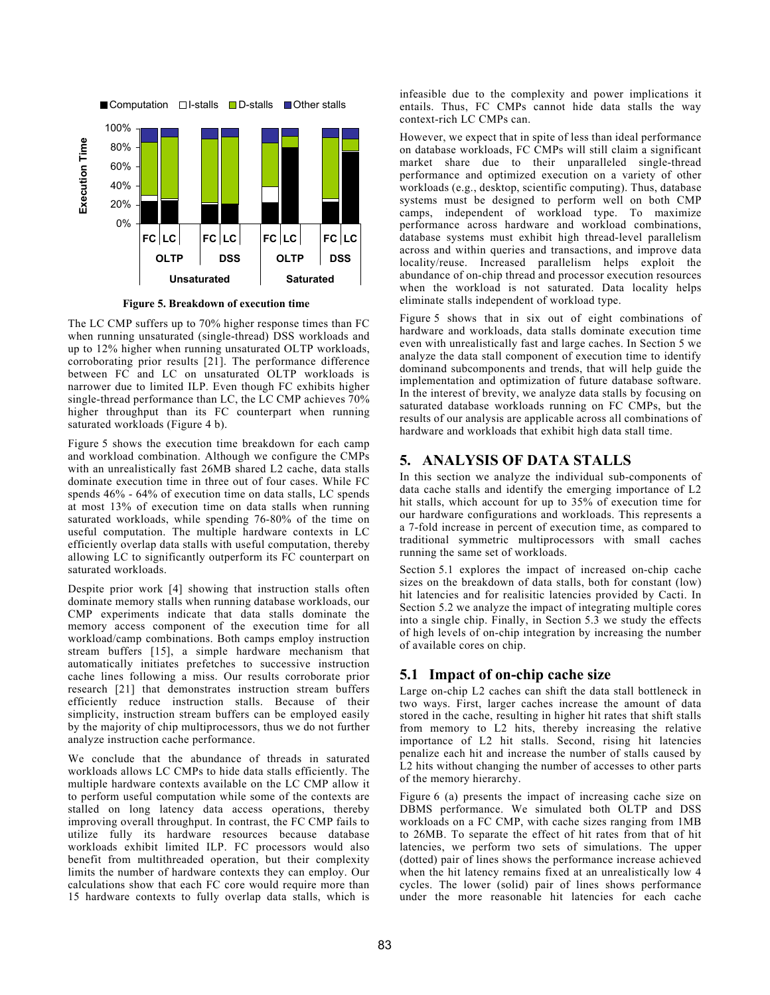

**Figure 5. Breakdown of execution time**

The LC CMP suffers up to 70% higher response times than FC when running unsaturated (single-thread) DSS workloads and up to 12% higher when running unsaturated OLTP workloads, corroborating prior results [21]. The performance difference between FC and LC on unsaturated OLTP workloads is narrower due to limited ILP. Even though FC exhibits higher single-thread performance than LC, the LC CMP achieves 70% higher throughput than its FC counterpart when running saturated workloads (Figure 4 b).

Figure 5 shows the execution time breakdown for each camp and workload combination. Although we configure the CMPs with an unrealistically fast 26MB shared L2 cache, data stalls dominate execution time in three out of four cases. While FC spends 46% - 64% of execution time on data stalls, LC spends at most 13% of execution time on data stalls when running saturated workloads, while spending 76-80% of the time on useful computation. The multiple hardware contexts in LC efficiently overlap data stalls with useful computation, thereby allowing LC to significantly outperform its FC counterpart on saturated workloads.

Despite prior work [4] showing that instruction stalls often dominate memory stalls when running database workloads, our CMP experiments indicate that data stalls dominate the memory access component of the execution time for all workload/camp combinations. Both camps employ instruction stream buffers [15], a simple hardware mechanism that automatically initiates prefetches to successive instruction cache lines following a miss. Our results corroborate prior research [21] that demonstrates instruction stream buffers efficiently reduce instruction stalls. Because of their simplicity, instruction stream buffers can be employed easily by the majority of chip multiprocessors, thus we do not further analyze instruction cache performance.

We conclude that the abundance of threads in saturated workloads allows LC CMPs to hide data stalls efficiently. The multiple hardware contexts available on the LC CMP allow it to perform useful computation while some of the contexts are stalled on long latency data access operations, thereby improving overall throughput. In contrast, the FC CMP fails to utilize fully its hardware resources because database workloads exhibit limited ILP. FC processors would also benefit from multithreaded operation, but their complexity limits the number of hardware contexts they can employ. Our calculations show that each FC core would require more than 15 hardware contexts to fully overlap data stalls, which is infeasible due to the complexity and power implications it entails. Thus, FC CMPs cannot hide data stalls the way context-rich LC CMPs can.

However, we expect that in spite of less than ideal performance on database workloads, FC CMPs will still claim a significant market share due to their unparalleled single-thread performance and optimized execution on a variety of other workloads (e.g., desktop, scientific computing). Thus, database systems must be designed to perform well on both CMP camps, independent of workload type. To maximize performance across hardware and workload combinations, database systems must exhibit high thread-level parallelism across and within queries and transactions, and improve data locality/reuse. Increased parallelism helps exploit the abundance of on-chip thread and processor execution resources when the workload is not saturated. Data locality helps eliminate stalls independent of workload type.

Figure 5 shows that in six out of eight combinations of hardware and workloads, data stalls dominate execution time even with unrealistically fast and large caches. In Section 5 we analyze the data stall component of execution time to identify dominand subcomponents and trends, that will help guide the implementation and optimization of future database software. In the interest of brevity, we analyze data stalls by focusing on saturated database workloads running on FC CMPs, but the results of our analysis are applicable across all combinations of hardware and workloads that exhibit high data stall time.

#### **5. ANALYSIS OF DATA STALLS**

In this section we analyze the individual sub-components of data cache stalls and identify the emerging importance of L2 hit stalls, which account for up to 35% of execution time for our hardware configurations and workloads. This represents a a 7-fold increase in percent of execution time, as compared to traditional symmetric multiprocessors with small caches running the same set of workloads.

Section 5.1 explores the impact of increased on-chip cache sizes on the breakdown of data stalls, both for constant (low) hit latencies and for realisitic latencies provided by Cacti. In Section 5.2 we analyze the impact of integrating multiple cores into a single chip. Finally, in Section 5.3 we study the effects of high levels of on-chip integration by increasing the number of available cores on chip.

# **5.1 Impact of on-chip cache size**

Large on-chip L2 caches can shift the data stall bottleneck in two ways. First, larger caches increase the amount of data stored in the cache, resulting in higher hit rates that shift stalls from memory to L2 hits, thereby increasing the relative importance of L2 hit stalls. Second, rising hit latencies penalize each hit and increase the number of stalls caused by L2 hits without changing the number of accesses to other parts of the memory hierarchy.

Figure 6 (a) presents the impact of increasing cache size on DBMS performance. We simulated both OLTP and DSS workloads on a FC CMP, with cache sizes ranging from 1MB to 26MB. To separate the effect of hit rates from that of hit latencies, we perform two sets of simulations. The upper (dotted) pair of lines shows the performance increase achieved when the hit latency remains fixed at an unrealistically low 4 cycles. The lower (solid) pair of lines shows performance under the more reasonable hit latencies for each cache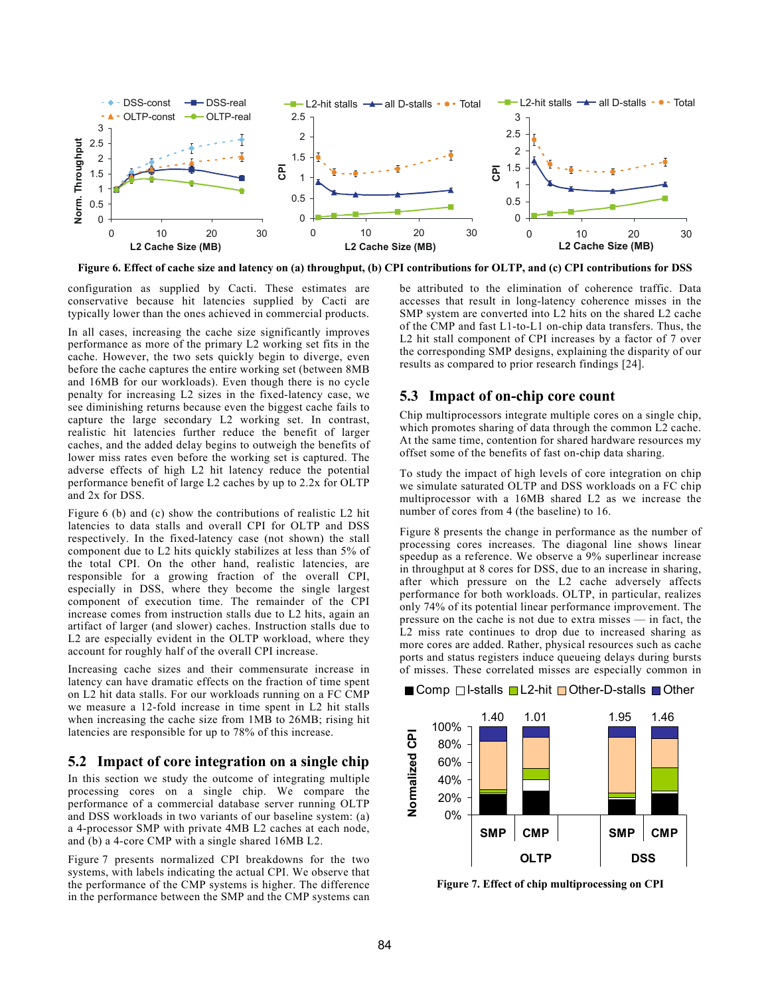

Figure 6. Effect of cache size and latency on (a) throughput, (b) CPI contributions for OLTP, and (c) CPI contributions for DSS

configuration as supplied by Cacti. These estimates are conservative because hit latencies supplied by Cacti are typically lower than the ones achieved in commercial products.

In all cases, increasing the cache size significantly improves performance as more of the primary L2 working set fits in the cache. However, the two sets quickly begin to diverge, even before the cache captures the entire working set (between 8MB and 16MB for our workloads). Even though there is no cycle penalty for increasing L2 sizes in the fixed-latency case, we see diminishing returns because even the biggest cache fails to capture the large secondary L2 working set. In contrast, realistic hit latencies further reduce the benefit of larger caches, and the added delay begins to outweigh the benefits of lower miss rates even before the working set is captured. The adverse effects of high L2 hit latency reduce the potential performance benefit of large L2 caches by up to 2.2x for OLTP and 2x for DSS.

Figure 6 (b) and (c) show the contributions of realistic L2 hit latencies to data stalls and overall CPI for OLTP and DSS respectively. In the fixed-latency case (not shown) the stall component due to L2 hits quickly stabilizes at less than 5% of the total CPI. On the other hand, realistic latencies, are responsible for a growing fraction of the overall CPI, especially in DSS, where they become the single largest component of execution time. The remainder of the CPI increase comes from instruction stalls due to L2 hits, again an artifact of larger (and slower) caches. Instruction stalls due to L2 are especially evident in the OLTP workload, where they account for roughly half of the overall CPI increase.

Increasing cache sizes and their commensurate increase in latency can have dramatic effects on the fraction of time spent on L2 hit data stalls. For our workloads running on a FC CMP we measure a 12-fold increase in time spent in L2 hit stalls when increasing the cache size from 1MB to 26MB; rising hit latencies are responsible for up to 78% of this increase.

# **5.2 Impact of core integration on a single chip**

In this section we study the outcome of integrating multiple processing cores on a single chip. We compare the performance of a commercial database server running OLTP and DSS workloads in two variants of our baseline system: (a) a 4-processor SMP with private 4MB L2 caches at each node, and (b) a 4-core CMP with a single shared 16MB L2.

Figure 7 presents normalized CPI breakdowns for the two systems, with labels indicating the actual CPI. We observe that the performance of the CMP systems is higher. The difference in the performance between the SMP and the CMP systems can be attributed to the elimination of coherence traffic. Data accesses that result in long-latency coherence misses in the SMP system are converted into L2 hits on the shared L2 cache of the CMP and fast L1-to-L1 on-chip data transfers. Thus, the L2 hit stall component of CPI increases by a factor of 7 over the corresponding SMP designs, explaining the disparity of our results as compared to prior research findings [24].

# **5.3 Impact of on-chip core count**

Chip multiprocessors integrate multiple cores on a single chip, which promotes sharing of data through the common L2 cache. At the same time, contention for shared hardware resources my offset some of the benefits of fast on-chip data sharing.

To study the impact of high levels of core integration on chip we simulate saturated OLTP and DSS workloads on a FC chip multiprocessor with a 16MB shared L2 as we increase the number of cores from 4 (the baseline) to 16.

Figure 8 presents the change in performance as the number of processing cores increases. The diagonal line shows linear speedup as a reference. We observe a 9% superlinear increase in throughput at 8 cores for DSS, due to an increase in sharing, after which pressure on the L2 cache adversely affects performance for both workloads. OLTP, in particular, realizes only 74% of its potential linear performance improvement. The pressure on the cache is not due to extra misses — in fact, the L2 miss rate continues to drop due to increased sharing as more cores are added. Rather, physical resources such as cache ports and status registers induce queueing delays during bursts of misses. These correlated misses are especially common in



**Figure 7. Effect of chip multiprocessing on CPI**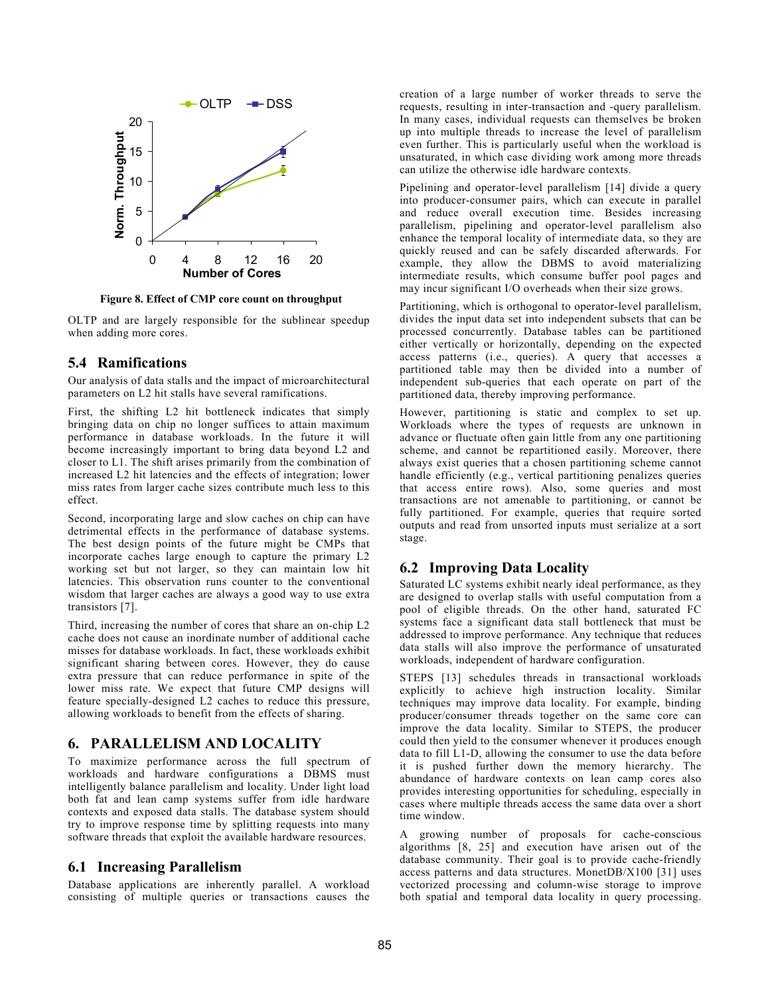

**Figure 8. Effect of CMP core count on throughput**

OLTP and are largely responsible for the sublinear speedup when adding more cores.

#### **5.4 Ramifications**

Our analysis of data stalls and the impact of microarchitectural parameters on L2 hit stalls have several ramifications.

First, the shifting L2 hit bottleneck indicates that simply bringing data on chip no longer suffices to attain maximum performance in database workloads. In the future it will become increasingly important to bring data beyond L2 and closer to L1. The shift arises primarily from the combination of increased L2 hit latencies and the effects of integration; lower miss rates from larger cache sizes contribute much less to this effect.

Second, incorporating large and slow caches on chip can have detrimental effects in the performance of database systems. The best design points of the future might be CMPs that incorporate caches large enough to capture the primary L2 working set but not larger, so they can maintain low hit latencies. This observation runs counter to the conventional wisdom that larger caches are always a good way to use extra transistors [7].

Third, increasing the number of cores that share an on-chip L2 cache does not cause an inordinate number of additional cache misses for database workloads. In fact, these workloads exhibit significant sharing between cores. However, they do cause extra pressure that can reduce performance in spite of the lower miss rate. We expect that future CMP designs will feature specially-designed L2 caches to reduce this pressure, allowing workloads to benefit from the effects of sharing.

#### **6. PARALLELISM AND LOCALITY**

To maximize performance across the full spectrum of workloads and hardware configurations a DBMS must intelligently balance parallelism and locality. Under light load both fat and lean camp systems suffer from idle hardware contexts and exposed data stalls. The database system should try to improve response time by splitting requests into many software threads that exploit the available hardware resources.

#### **6.1 Increasing Parallelism**

Database applications are inherently parallel. A workload consisting of multiple queries or transactions causes the creation of a large number of worker threads to serve the requests, resulting in inter-transaction and -query parallelism. In many cases, individual requests can themselves be broken up into multiple threads to increase the level of parallelism even further. This is particularly useful when the workload is unsaturated, in which case dividing work among more threads can utilize the otherwise idle hardware contexts.

Pipelining and operator-level parallelism [14] divide a query into producer-consumer pairs, which can execute in parallel and reduce overall execution time. Besides increasing parallelism, pipelining and operator-level parallelism also enhance the temporal locality of intermediate data, so they are quickly reused and can be safely discarded afterwards. For example, they allow the DBMS to avoid materializing intermediate results, which consume buffer pool pages and may incur significant I/O overheads when their size grows.

Partitioning, which is orthogonal to operator-level parallelism, divides the input data set into independent subsets that can be processed concurrently. Database tables can be partitioned either vertically or horizontally, depending on the expected access patterns (i.e., queries). A query that accesses a partitioned table may then be divided into a number of independent sub-queries that each operate on part of the partitioned data, thereby improving performance.

However, partitioning is static and complex to set up. Workloads where the types of requests are unknown in advance or fluctuate often gain little from any one partitioning scheme, and cannot be repartitioned easily. Moreover, there always exist queries that a chosen partitioning scheme cannot handle efficiently (e.g., vertical partitioning penalizes queries that access entire rows). Also, some queries and most transactions are not amenable to partitioning, or cannot be fully partitioned. For example, queries that require sorted outputs and read from unsorted inputs must serialize at a sort stage.

#### **6.2 Improving Data Locality**

Saturated LC systems exhibit nearly ideal performance, as they are designed to overlap stalls with useful computation from a pool of eligible threads. On the other hand, saturated FC systems face a significant data stall bottleneck that must be addressed to improve performance. Any technique that reduces data stalls will also improve the performance of unsaturated workloads, independent of hardware configuration.

STEPS [13] schedules threads in transactional workloads explicitly to achieve high instruction locality. Similar techniques may improve data locality. For example, binding producer/consumer threads together on the same core can improve the data locality. Similar to STEPS, the producer could then yield to the consumer whenever it produces enough data to fill L1-D, allowing the consumer to use the data before it is pushed further down the memory hierarchy. The abundance of hardware contexts on lean camp cores also provides interesting opportunities for scheduling, especially in cases where multiple threads access the same data over a short time window.

A growing number of proposals for cache-conscious algorithms [8, 25] and execution have arisen out of the database community. Their goal is to provide cache-friendly access patterns and data structures. MonetDB/X100 [31] uses vectorized processing and column-wise storage to improve both spatial and temporal data locality in query processing.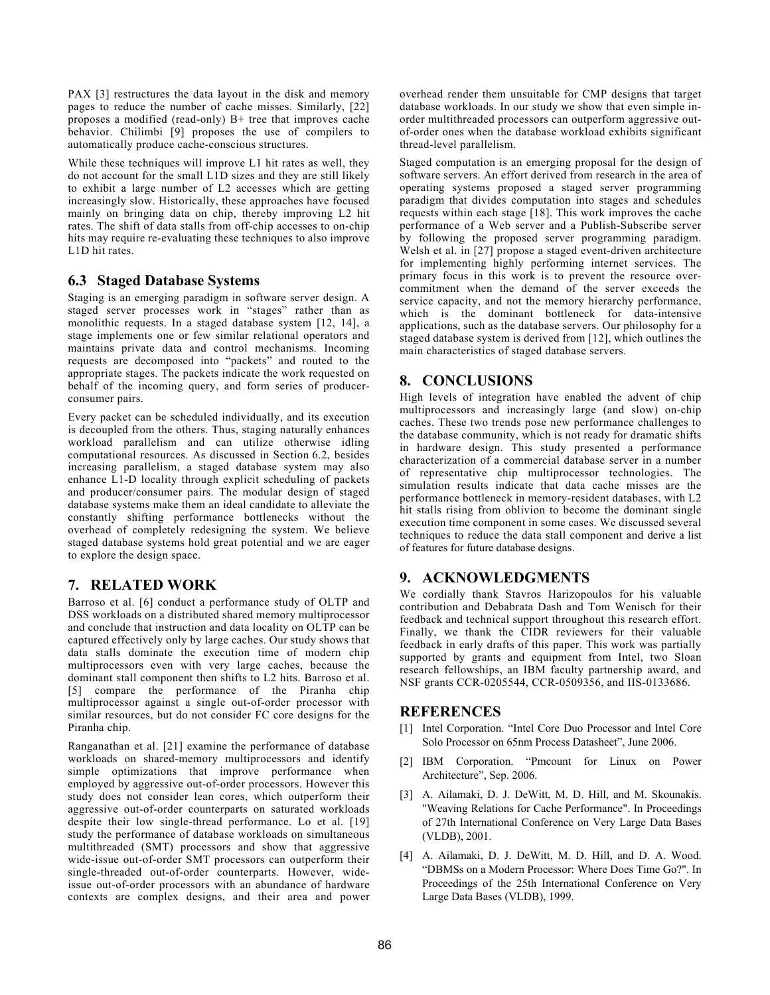PAX [3] restructures the data layout in the disk and memory pages to reduce the number of cache misses. Similarly, [22] proposes a modified (read-only) B+ tree that improves cache behavior. Chilimbi [9] proposes the use of compilers to automatically produce cache-conscious structures.

While these techniques will improve L1 hit rates as well, they do not account for the small L1D sizes and they are still likely to exhibit a large number of L2 accesses which are getting increasingly slow. Historically, these approaches have focused mainly on bringing data on chip, thereby improving L2 hit rates. The shift of data stalls from off-chip accesses to on-chip hits may require re-evaluating these techniques to also improve L1D hit rates.

# **6.3 Staged Database Systems**

Staging is an emerging paradigm in software server design. A staged server processes work in "stages" rather than as monolithic requests. In a staged database system [12, 14], a stage implements one or few similar relational operators and maintains private data and control mechanisms. Incoming requests are decomposed into "packets" and routed to the appropriate stages. The packets indicate the work requested on behalf of the incoming query, and form series of producerconsumer pairs.

Every packet can be scheduled individually, and its execution is decoupled from the others. Thus, staging naturally enhances workload parallelism and can utilize otherwise idling computational resources. As discussed in Section 6.2, besides increasing parallelism, a staged database system may also enhance L1-D locality through explicit scheduling of packets and producer/consumer pairs. The modular design of staged database systems make them an ideal candidate to alleviate the constantly shifting performance bottlenecks without the overhead of completely redesigning the system. We believe staged database systems hold great potential and we are eager to explore the design space.

# **7. RELATED WORK**

Barroso et al. [6] conduct a performance study of OLTP and DSS workloads on a distributed shared memory multiprocessor and conclude that instruction and data locality on OLTP can be captured effectively only by large caches. Our study shows that data stalls dominate the execution time of modern chip multiprocessors even with very large caches, because the dominant stall component then shifts to L2 hits. Barroso et al. [5] compare the performance of the Piranha chip multiprocessor against a single out-of-order processor with similar resources, but do not consider FC core designs for the Piranha chip.

Ranganathan et al. [21] examine the performance of database workloads on shared-memory multiprocessors and identify simple optimizations that improve performance when employed by aggressive out-of-order processors. However this study does not consider lean cores, which outperform their aggressive out-of-order counterparts on saturated workloads despite their low single-thread performance. Lo et al. [19] study the performance of database workloads on simultaneous multithreaded (SMT) processors and show that aggressive wide-issue out-of-order SMT processors can outperform their single-threaded out-of-order counterparts. However, wideissue out-of-order processors with an abundance of hardware contexts are complex designs, and their area and power overhead render them unsuitable for CMP designs that target database workloads. In our study we show that even simple inorder multithreaded processors can outperform aggressive outof-order ones when the database workload exhibits significant thread-level parallelism.

Staged computation is an emerging proposal for the design of software servers. An effort derived from research in the area of operating systems proposed a staged server programming paradigm that divides computation into stages and schedules requests within each stage  $[18]$ . This work improves the cache performance of a Web server and a Publish-Subscribe server by following the proposed server programming paradigm. Welsh et al. in [27] propose a staged event-driven architecture for implementing highly performing internet services. The primary focus in this work is to prevent the resource overcommitment when the demand of the server exceeds the service capacity, and not the memory hierarchy performance, which is the dominant bottleneck for data-intensive applications, such as the database servers. Our philosophy for a staged database system is derived from [12], which outlines the main characteristics of staged database servers.

# **8. CONCLUSIONS**

High levels of integration have enabled the advent of chip multiprocessors and increasingly large (and slow) on-chip caches. These two trends pose new performance challenges to the database community, which is not ready for dramatic shifts in hardware design. This study presented a performance characterization of a commercial database server in a number of representative chip multiprocessor technologies. The simulation results indicate that data cache misses are the performance bottleneck in memory-resident databases, with L2 hit stalls rising from oblivion to become the dominant single execution time component in some cases. We discussed several techniques to reduce the data stall component and derive a list of features for future database designs.

# **9. ACKNOWLEDGMENTS**

We cordially thank Stavros Harizopoulos for his valuable contribution and Debabrata Dash and Tom Wenisch for their feedback and technical support throughout this research effort. Finally, we thank the CIDR reviewers for their valuable feedback in early drafts of this paper. This work was partially supported by grants and equipment from Intel, two Sloan research fellowships, an IBM faculty partnership award, and NSF grants CCR-0205544, CCR-0509356, and IIS-0133686.

# **REFERENCES**

- [1] Intel Corporation. "Intel Core Duo Processor and Intel Core Solo Processor on 65nm Process Datasheet", June 2006.
- [2] IBM Corporation. "Pmcount for Linux on Power Architecture", Sep. 2006.
- [3] A. Ailamaki, D. J. DeWitt, M. D. Hill, and M. Skounakis. "Weaving Relations for Cache Performance". In Proceedings of 27th International Conference on Very Large Data Bases (VLDB), 2001.
- [4] A. Ailamaki, D. J. DeWitt, M. D. Hill, and D. A. Wood. "DBMSs on a Modern Processor: Where Does Time Go?". In Proceedings of the 25th International Conference on Very Large Data Bases (VLDB), 1999.